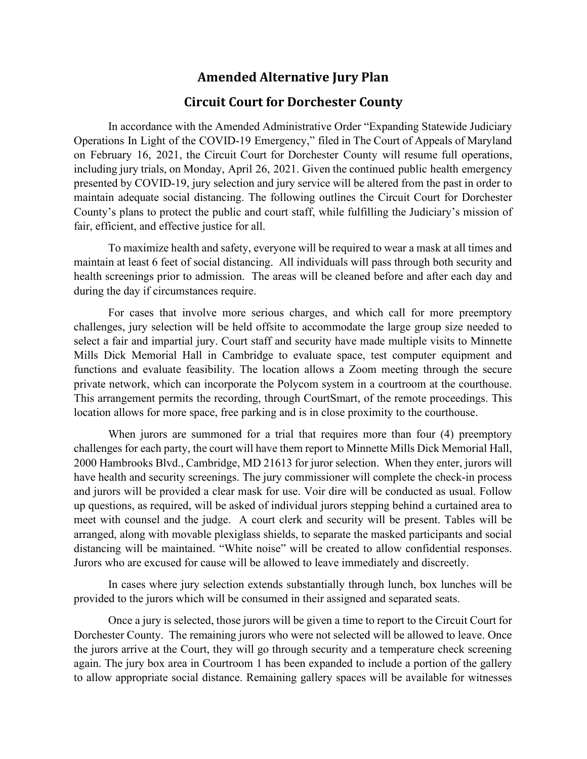## **Amended Alternative Jury Plan**

## **Circuit Court for Dorchester County**

In accordance with the Amended Administrative Order "Expanding Statewide Judiciary Operations In Light of the COVID-19 Emergency," filed in The Court of Appeals of Maryland on February 16, 2021, the Circuit Court for Dorchester County will resume full operations, including jury trials, on Monday, April 26, 2021. Given the continued public health emergency presented by COVID-19, jury selection and jury service will be altered from the past in order to maintain adequate social distancing. The following outlines the Circuit Court for Dorchester County's plans to protect the public and court staff, while fulfilling the Judiciary's mission of fair, efficient, and effective justice for all.

To maximize health and safety, everyone will be required to wear a mask at all times and maintain at least 6 feet of social distancing. All individuals will pass through both security and health screenings prior to admission. The areas will be cleaned before and after each day and during the day if circumstances require.

For cases that involve more serious charges, and which call for more preemptory challenges, jury selection will be held offsite to accommodate the large group size needed to select a fair and impartial jury. Court staff and security have made multiple visits to Minnette Mills Dick Memorial Hall in Cambridge to evaluate space, test computer equipment and functions and evaluate feasibility. The location allows a Zoom meeting through the secure private network, which can incorporate the Polycom system in a courtroom at the courthouse. This arrangement permits the recording, through CourtSmart, of the remote proceedings. This location allows for more space, free parking and is in close proximity to the courthouse.

When jurors are summoned for a trial that requires more than four (4) preemptory challenges for each party, the court will have them report to Minnette Mills Dick Memorial Hall, 2000 Hambrooks Blvd., Cambridge, MD 21613 for juror selection. When they enter, jurors will have health and security screenings. The jury commissioner will complete the check-in process and jurors will be provided a clear mask for use. Voir dire will be conducted as usual. Follow up questions, as required, will be asked of individual jurors stepping behind a curtained area to meet with counsel and the judge. A court clerk and security will be present. Tables will be arranged, along with movable plexiglass shields, to separate the masked participants and social distancing will be maintained. "White noise" will be created to allow confidential responses. Jurors who are excused for cause will be allowed to leave immediately and discreetly.

In cases where jury selection extends substantially through lunch, box lunches will be provided to the jurors which will be consumed in their assigned and separated seats.

Once a jury is selected, those jurors will be given a time to report to the Circuit Court for Dorchester County. The remaining jurors who were not selected will be allowed to leave. Once the jurors arrive at the Court, they will go through security and a temperature check screening again. The jury box area in Courtroom 1 has been expanded to include a portion of the gallery to allow appropriate social distance. Remaining gallery spaces will be available for witnesses